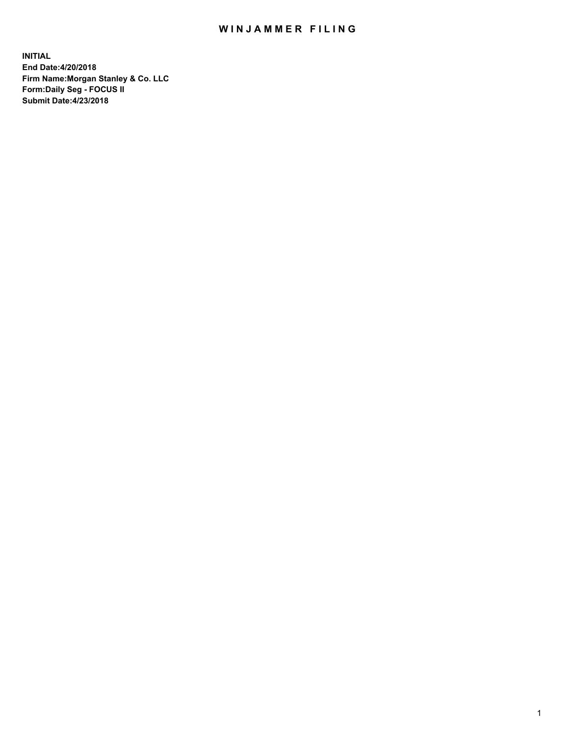# WIN JAMMER FILING

**INITIAL End Date:4/20/2018 Firm Name:Morgan Stanley & Co. LLC Form:Daily Seg - FOCUS II Submit Date:4/23/2018**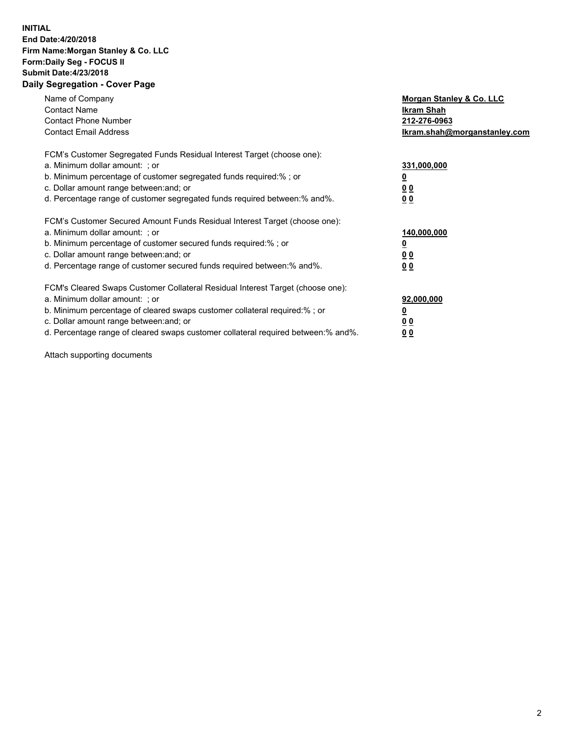### **INITIAL End Date:4/20/2018 Firm Name:Morgan Stanley & Co. LLC Form:Daily Seg - FOCUS II Submit Date:4/23/2018 Daily Segregation - Cover Page**

| Name of Company<br><b>Contact Name</b><br><b>Contact Phone Number</b><br><b>Contact Email Address</b>                                                                                                                                                                                                                          | Morgan Stanley & Co. LLC<br>Ikram Shah<br>212-276-0963<br>lkram.shah@morganstanley.com |
|--------------------------------------------------------------------------------------------------------------------------------------------------------------------------------------------------------------------------------------------------------------------------------------------------------------------------------|----------------------------------------------------------------------------------------|
| FCM's Customer Segregated Funds Residual Interest Target (choose one):<br>a. Minimum dollar amount: ; or<br>b. Minimum percentage of customer segregated funds required:%; or<br>c. Dollar amount range between: and; or<br>d. Percentage range of customer segregated funds required between: % and %.                        | 331,000,000<br>0 <sub>0</sub><br>00                                                    |
| FCM's Customer Secured Amount Funds Residual Interest Target (choose one):<br>a. Minimum dollar amount: ; or<br>b. Minimum percentage of customer secured funds required:%; or<br>c. Dollar amount range between: and; or<br>d. Percentage range of customer secured funds required between:% and%.                            | 140,000,000<br>0 <sub>0</sub><br>0 <sub>0</sub>                                        |
| FCM's Cleared Swaps Customer Collateral Residual Interest Target (choose one):<br>a. Minimum dollar amount: ; or<br>b. Minimum percentage of cleared swaps customer collateral required:% ; or<br>c. Dollar amount range between: and; or<br>d. Percentage range of cleared swaps customer collateral required between:% and%. | 92,000,000<br>0 <sub>0</sub><br>0 <sub>0</sub>                                         |

Attach supporting documents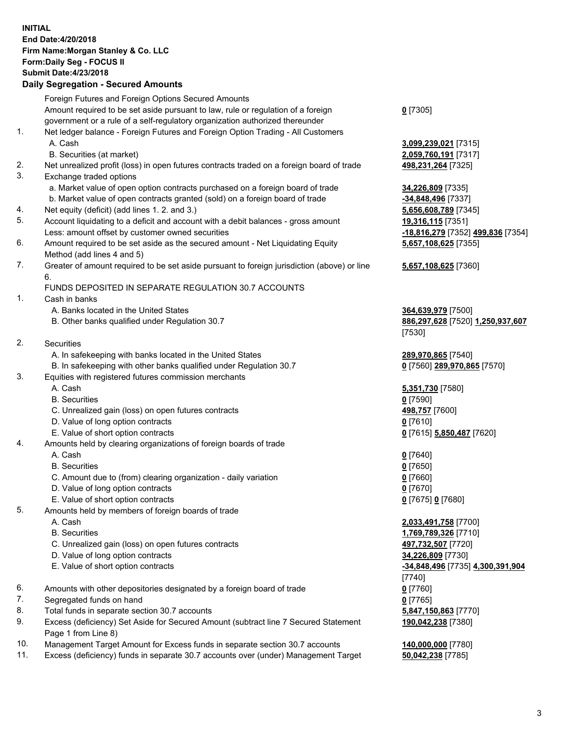# **INITIAL End Date:4/20/2018 Firm Name:Morgan Stanley & Co. LLC Form:Daily Seg - FOCUS II Submit Date:4/23/2018**

# **Daily Segregation - Secured Amounts**

|    | Foreign Futures and Foreign Options Secured Amounts                                                        |                                   |
|----|------------------------------------------------------------------------------------------------------------|-----------------------------------|
|    | Amount required to be set aside pursuant to law, rule or regulation of a foreign                           | $0$ [7305]                        |
|    | government or a rule of a self-regulatory organization authorized thereunder                               |                                   |
| 1. | Net ledger balance - Foreign Futures and Foreign Option Trading - All Customers                            |                                   |
|    | A. Cash                                                                                                    | 3,099,239,021 [7315]              |
|    | B. Securities (at market)                                                                                  | 2,059,760,191 [7317]              |
| 2. | Net unrealized profit (loss) in open futures contracts traded on a foreign board of trade                  | 498,231,264 [7325]                |
| 3. | Exchange traded options                                                                                    |                                   |
|    | a. Market value of open option contracts purchased on a foreign board of trade                             | 34,226,809 [7335]                 |
|    | b. Market value of open contracts granted (sold) on a foreign board of trade                               | -34,848,496 [7337]                |
| 4. | Net equity (deficit) (add lines 1.2. and 3.)                                                               | 5,656,608,789 [7345]              |
| 5. | Account liquidating to a deficit and account with a debit balances - gross amount                          | 19,316,115 [7351]                 |
|    | Less: amount offset by customer owned securities                                                           | -18,816,279 [7352] 499,836 [7354] |
| 6. | Amount required to be set aside as the secured amount - Net Liquidating Equity                             | 5,657,108,625 [7355]              |
|    | Method (add lines 4 and 5)                                                                                 |                                   |
| 7. | Greater of amount required to be set aside pursuant to foreign jurisdiction (above) or line                | 5,657,108,625 [7360]              |
|    | 6.                                                                                                         |                                   |
|    | FUNDS DEPOSITED IN SEPARATE REGULATION 30.7 ACCOUNTS                                                       |                                   |
| 1. | Cash in banks                                                                                              |                                   |
|    | A. Banks located in the United States                                                                      | 364,639,979 [7500]                |
|    | B. Other banks qualified under Regulation 30.7                                                             | 886,297,628 [7520] 1,250,937,607  |
|    |                                                                                                            | [7530]                            |
| 2. | Securities                                                                                                 |                                   |
|    | A. In safekeeping with banks located in the United States                                                  | 289,970,865 [7540]                |
|    | B. In safekeeping with other banks qualified under Regulation 30.7                                         | 0 [7560] 289,970,865 [7570]       |
| 3. | Equities with registered futures commission merchants                                                      |                                   |
|    | A. Cash                                                                                                    | 5,351,730 [7580]                  |
|    | <b>B.</b> Securities                                                                                       | $0$ [7590]                        |
|    | C. Unrealized gain (loss) on open futures contracts                                                        | 498,757 [7600]                    |
|    | D. Value of long option contracts                                                                          | $0$ [7610]                        |
|    | E. Value of short option contracts                                                                         | 0 [7615] 5,850,487 [7620]         |
| 4. | Amounts held by clearing organizations of foreign boards of trade                                          |                                   |
|    | A. Cash                                                                                                    | $0$ [7640]                        |
|    | <b>B.</b> Securities                                                                                       | $0$ [7650]                        |
|    | C. Amount due to (from) clearing organization - daily variation                                            | $0$ [7660]                        |
|    | D. Value of long option contracts                                                                          | $0$ [7670]                        |
|    | E. Value of short option contracts                                                                         | 0 [7675] 0 [7680]                 |
| 5. | Amounts held by members of foreign boards of trade                                                         |                                   |
|    | A. Cash                                                                                                    | 2,033,491,758 [7700]              |
|    | <b>B.</b> Securities                                                                                       | 1,769,789,326 [7710]              |
|    | C. Unrealized gain (loss) on open futures contracts                                                        | 497,732,507 [7720]                |
|    | D. Value of long option contracts                                                                          | 34,226,809 [7730]                 |
|    | E. Value of short option contracts                                                                         | -34,848,496 [7735] 4,300,391,904  |
|    |                                                                                                            | [7740]                            |
| 6. | Amounts with other depositories designated by a foreign board of trade                                     | $0$ [7760]                        |
| 7. | Segregated funds on hand                                                                                   | $0$ [7765]                        |
| 8. | Total funds in separate section 30.7 accounts                                                              | 5,847,150,863 [7770]              |
| 9. | Excess (deficiency) Set Aside for Secured Amount (subtract line 7 Secured Statement<br>Page 1 from Line 8) | 190,042,238 [7380]                |

- 10. Management Target Amount for Excess funds in separate section 30.7 accounts **140,000,000** [7780]
- 11. Excess (deficiency) funds in separate 30.7 accounts over (under) Management Target **50,042,238** [7785]

#### **5** [7360]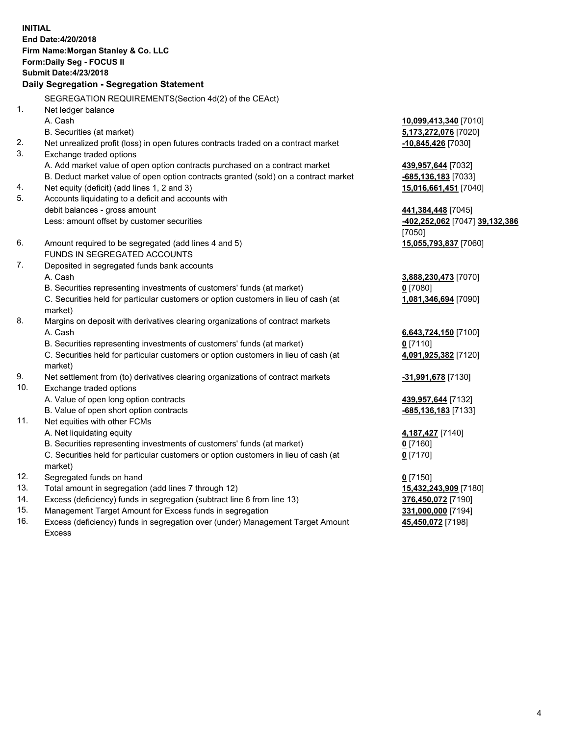**INITIAL End Date:4/20/2018 Firm Name:Morgan Stanley & Co. LLC Form:Daily Seg - FOCUS II Submit Date:4/23/2018 Daily Segregation - Segregation Statement** SEGREGATION REQUIREMENTS(Section 4d(2) of the CEAct) 1. Net ledger balance A. Cash **10,099,413,340** [7010] B. Securities (at market) **5,173,272,076** [7020] 2. Net unrealized profit (loss) in open futures contracts traded on a contract market **-10,845,426** [7030] 3. Exchange traded options A. Add market value of open option contracts purchased on a contract market **439,957,644** [7032] B. Deduct market value of open option contracts granted (sold) on a contract market **-685,136,183** [7033] 4. Net equity (deficit) (add lines 1, 2 and 3) **15,016,661,451** [7040] 5. Accounts liquidating to a deficit and accounts with debit balances - gross amount **441,384,448** [7045] Less: amount offset by customer securities **-402,252,062** [7047] **39,132,386** [7050] 6. Amount required to be segregated (add lines 4 and 5) **15,055,793,837** [7060] FUNDS IN SEGREGATED ACCOUNTS 7. Deposited in segregated funds bank accounts A. Cash **3,888,230,473** [7070] B. Securities representing investments of customers' funds (at market) **0** [7080] C. Securities held for particular customers or option customers in lieu of cash (at market) **1,081,346,694** [7090] 8. Margins on deposit with derivatives clearing organizations of contract markets A. Cash **6,643,724,150** [7100] B. Securities representing investments of customers' funds (at market) **0** [7110] C. Securities held for particular customers or option customers in lieu of cash (at market) **4,091,925,382** [7120] 9. Net settlement from (to) derivatives clearing organizations of contract markets **-31,991,678** [7130] 10. Exchange traded options A. Value of open long option contracts **439,957,644** [7132] B. Value of open short option contracts **-685,136,183** [7133] 11. Net equities with other FCMs A. Net liquidating equity **4,187,427** [7140] B. Securities representing investments of customers' funds (at market) **0** [7160] C. Securities held for particular customers or option customers in lieu of cash (at market) **0** [7170] 12. Segregated funds on hand **0** [7150] 13. Total amount in segregation (add lines 7 through 12) **15,432,243,909** [7180] 14. Excess (deficiency) funds in segregation (subtract line 6 from line 13) **376,450,072** [7190]

- 15. Management Target Amount for Excess funds in segregation **331,000,000** [7194]
- 16. Excess (deficiency) funds in segregation over (under) Management Target Amount Excess

**45,450,072** [7198]